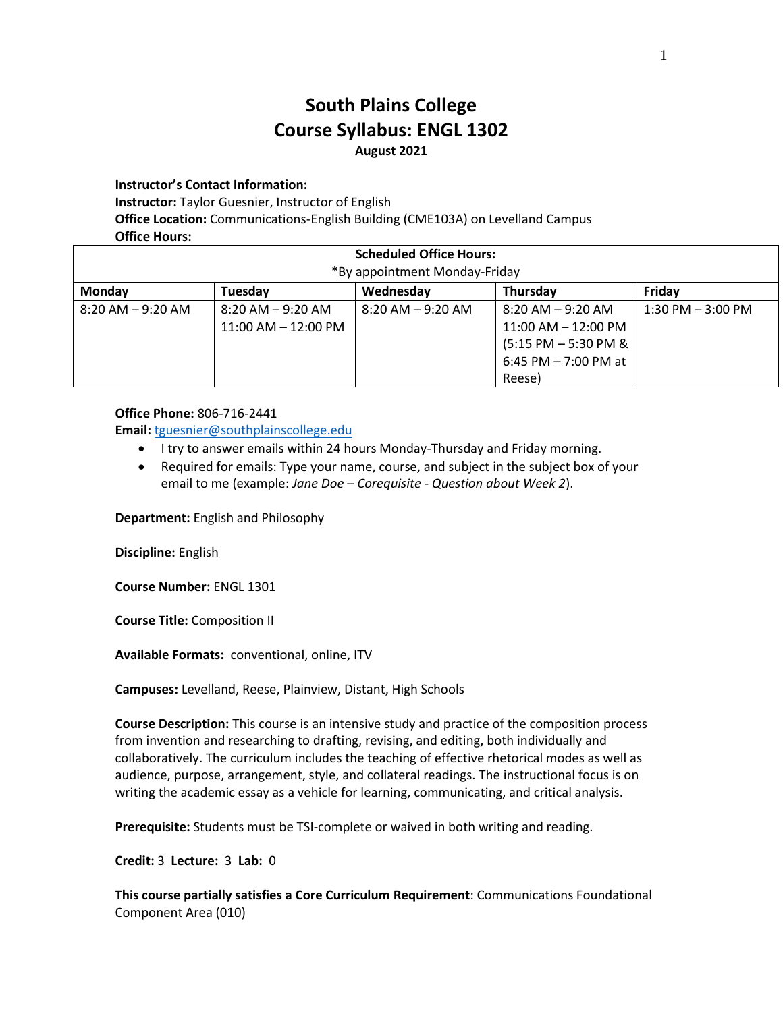# **South Plains College Course Syllabus: ENGL 1302 August 2021**

**Instructor's Contact Information:**

**Instructor:** Taylor Guesnier, Instructor of English

**Office Location:** Communications-English Building (CME103A) on Levelland Campus

**Office Hours:**

| <b>Scheduled Office Hours:</b><br>*By appointment Monday-Friday |                         |                      |                         |                      |
|-----------------------------------------------------------------|-------------------------|----------------------|-------------------------|----------------------|
| Monday                                                          | Tuesday                 | Wednesday            | Thursday                | Friday               |
| $8:20$ AM $-9:20$ AM                                            | 8:20 AM – 9:20 AM       | $8:20$ AM $-9:20$ AM | $8:20$ AM $-9:20$ AM    | $1:30$ PM $-3:00$ PM |
|                                                                 | $11:00$ AM $- 12:00$ PM |                      | $11:00$ AM $-12:00$ PM  |                      |
|                                                                 |                         |                      | $(5:15$ PM $-5:30$ PM & |                      |
|                                                                 |                         |                      | 6:45 PM $-$ 7:00 PM at  |                      |
|                                                                 |                         |                      | Reese)                  |                      |

#### **Office Phone:** 806-716-2441

**Email:** [tguesnier@southplainscollege.edu](mailto:tguesnier@southplainscollege.edu)

- I try to answer emails within 24 hours Monday-Thursday and Friday morning.
- Required for emails: Type your name, course, and subject in the subject box of your email to me (example: *Jane Doe – Corequisite - Question about Week 2*).

**Department:** English and Philosophy

**Discipline:** English

**Course Number:** ENGL 1301

**Course Title:** Composition II

**Available Formats:** conventional, online, ITV

**Campuses:** Levelland, Reese, Plainview, Distant, High Schools

**Course Description:** This course is an intensive study and practice of the composition process from invention and researching to drafting, revising, and editing, both individually and collaboratively. The curriculum includes the teaching of effective rhetorical modes as well as audience, purpose, arrangement, style, and collateral readings. The instructional focus is on writing the academic essay as a vehicle for learning, communicating, and critical analysis.

**Prerequisite:** Students must be TSI-complete or waived in both writing and reading.

**Credit:** 3 **Lecture:** 3 **Lab:** 0

**This course partially satisfies a Core Curriculum Requirement**: Communications Foundational Component Area (010)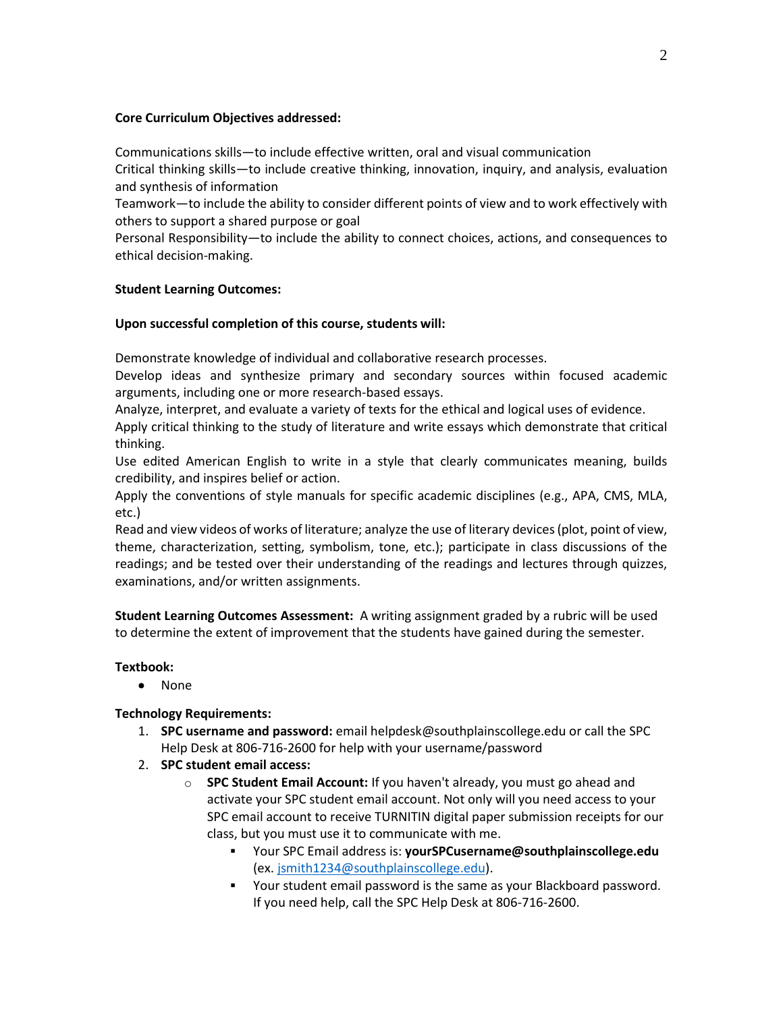### **Core Curriculum Objectives addressed:**

Communications skills—to include effective written, oral and visual communication Critical thinking skills—to include creative thinking, innovation, inquiry, and analysis, evaluation and synthesis of information

Teamwork—to include the ability to consider different points of view and to work effectively with others to support a shared purpose or goal

Personal Responsibility—to include the ability to connect choices, actions, and consequences to ethical decision-making.

### **Student Learning Outcomes:**

### **Upon successful completion of this course, students will:**

Demonstrate knowledge of individual and collaborative research processes.

Develop ideas and synthesize primary and secondary sources within focused academic arguments, including one or more research-based essays.

Analyze, interpret, and evaluate a variety of texts for the ethical and logical uses of evidence.

Apply critical thinking to the study of literature and write essays which demonstrate that critical thinking.

Use edited American English to write in a style that clearly communicates meaning, builds credibility, and inspires belief or action.

Apply the conventions of style manuals for specific academic disciplines (e.g., APA, CMS, MLA, etc.)

Read and view videos of works of literature; analyze the use of literary devices (plot, point of view, theme, characterization, setting, symbolism, tone, etc.); participate in class discussions of the readings; and be tested over their understanding of the readings and lectures through quizzes, examinations, and/or written assignments.

**Student Learning Outcomes Assessment:** A writing assignment graded by a rubric will be used to determine the extent of improvement that the students have gained during the semester.

### **Textbook:**

• None

### **Technology Requirements:**

- 1. **SPC username and password:** email helpdesk@southplainscollege.edu or call the SPC Help Desk at 806-716-2600 for help with your username/password
- 2. **SPC student email access:**
	- o **SPC Student Email Account:** If you haven't already, you must go ahead and activate your SPC student email account. Not only will you need access to your SPC email account to receive TURNITIN digital paper submission receipts for our class, but you must use it to communicate with me.
		- Your SPC Email address is: **yourSPCusername@southplainscollege.edu** (ex. [jsmith1234@southplainscollege.edu\)](mailto:jsmith1234@southplainscollege.edu).
		- Your student email password is the same as your Blackboard password. If you need help, call the SPC Help Desk at 806-716-2600.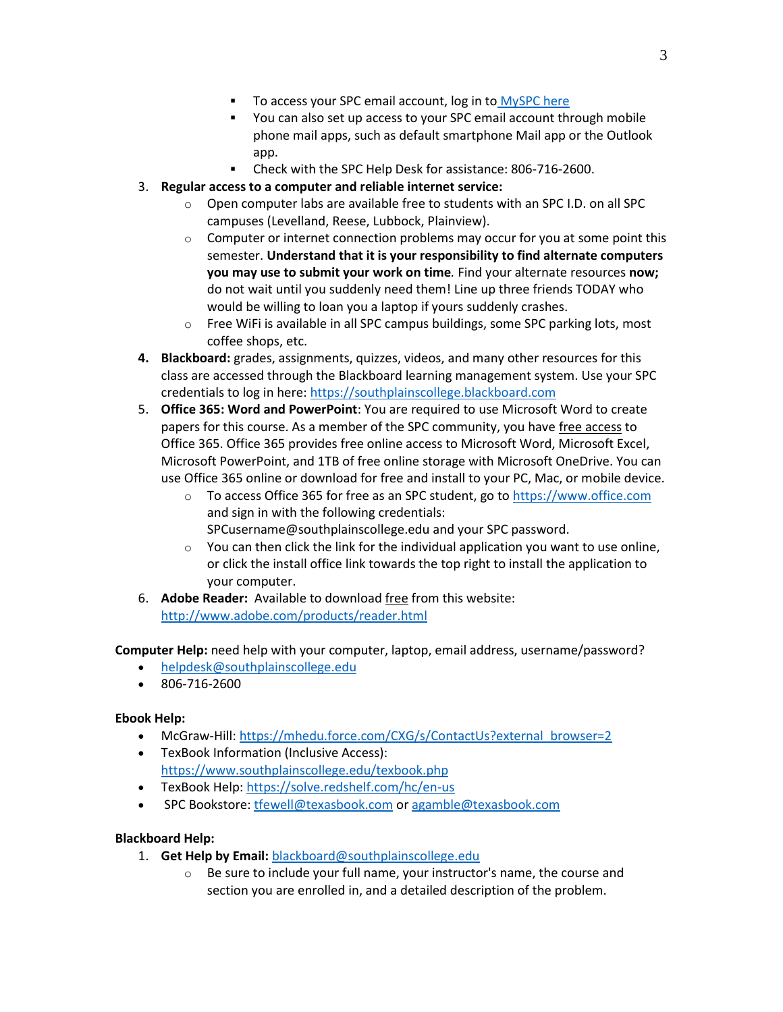- To access your SPC email account, log in to [MySPC here](https://fs.southplainscollege.edu/adfs/ls?wa=wsignin1.0&wtrealm=urn%3aportal.southplainscollege.edu%3a443&wctx=https%3a%2f%2fportal.southplainscollege.edu%2f_layouts%2f15%2fAuthenticate.aspx%3fSource%3d%252F&wreply=https%3a%2f%2fportal.southplainscollege.edu%2f_trust%2fdefault.aspx)
- You can also set up access to your SPC email account through mobile phone mail apps, such as default smartphone Mail app or the Outlook app.
- Check with the SPC Help Desk for assistance: 806-716-2600.

## 3. **Regular access to a computer and reliable internet service:**

- o Open computer labs are available free to students with an SPC I.D. on all SPC campuses (Levelland, Reese, Lubbock, Plainview).
- $\circ$  Computer or internet connection problems may occur for you at some point this semester. **Understand that it is your responsibility to find alternate computers you may use to submit your work on time***.* Find your alternate resources **now;** do not wait until you suddenly need them! Line up three friends TODAY who would be willing to loan you a laptop if yours suddenly crashes.
- $\circ$  Free WiFi is available in all SPC campus buildings, some SPC parking lots, most coffee shops, etc.
- **4. Blackboard:** grades, assignments, quizzes, videos, and many other resources for this class are accessed through the Blackboard learning management system. Use your SPC credentials to log in here[: https://southplainscollege.blackboard.com](https://southplainscollege.blackboard.com/)
- 5. **Office 365: Word and PowerPoint**: You are required to use Microsoft Word to create papers for this course. As a member of the SPC community, you have free access to Office 365. Office 365 provides free online access to Microsoft Word, Microsoft Excel, Microsoft PowerPoint, and 1TB of free online storage with Microsoft OneDrive. You can use Office 365 online or download for free and install to your PC, Mac, or mobile device.
	- $\circ$  To access Office 365 for free as an SPC student, go to [https://www.office.com](https://www.office.com/) and sign in with the following credentials: SPCusername@southplainscollege.edu and your SPC password.
	- o You can then click the link for the individual application you want to use online, or click the install office link towards the top right to install the application to your computer.
- 6. **Adobe Reader:** Available to download free from this website: <http://www.adobe.com/products/reader.html>

**Computer Help:** need help with your computer, laptop, email address, username/password?

- [helpdesk@southplainscollege.edu](mailto:helpdesk@southplainscollege.edu)
- 806-716-2600

### **Ebook Help:**

- McGraw-Hill: [https://mhedu.force.com/CXG/s/ContactUs?external\\_browser=2](https://mhedu.force.com/CXG/s/ContactUs?external_browser=2)
- TexBook Information (Inclusive Access): <https://www.southplainscollege.edu/texbook.php>
- TexBook Help[: https://solve.redshelf.com/hc/en-us](https://solve.redshelf.com/hc/en-us)
- SPC Bookstore[: tfewell@texasbook.com](mailto:tfewell@texasbook.com) or [agamble@texasbook.com](mailto:agamble@texasbook.com)

### **Blackboard Help:**

- 1. **Get Help by Email:** [blackboard@southplainscollege.edu](mailto:blackboard@southplainscollege.edu)
	- $\circ$  Be sure to include your full name, your instructor's name, the course and section you are enrolled in, and a detailed description of the problem.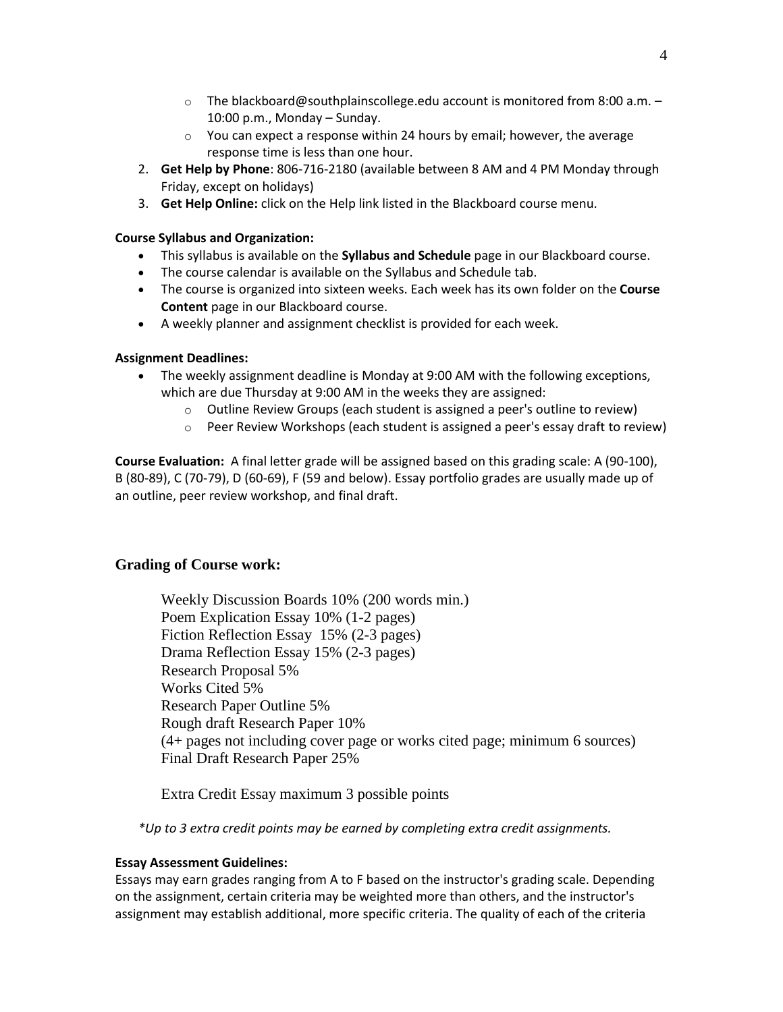- $\circ$  The blackboard@southplainscollege.edu account is monitored from 8:00 a.m. 10:00 p.m., Monday – Sunday.
- $\circ$  You can expect a response within 24 hours by email; however, the average response time is less than one hour.
- 2. **Get Help by Phone**: 806-716-2180 (available between 8 AM and 4 PM Monday through Friday, except on holidays)
- 3. **Get Help Online:** click on the Help link listed in the Blackboard course menu.

## **Course Syllabus and Organization:**

- This syllabus is available on the **Syllabus and Schedule** page in our Blackboard course.
- The course calendar is available on the Syllabus and Schedule tab.
- The course is organized into sixteen weeks. Each week has its own folder on the **Course Content** page in our Blackboard course.
- A weekly planner and assignment checklist is provided for each week.

## **Assignment Deadlines:**

- The weekly assignment deadline is Monday at 9:00 AM with the following exceptions, which are due Thursday at 9:00 AM in the weeks they are assigned:
	- $\circ$  Outline Review Groups (each student is assigned a peer's outline to review)
	- o Peer Review Workshops (each student is assigned a peer's essay draft to review)

**Course Evaluation:** A final letter grade will be assigned based on this grading scale: A (90-100), B (80-89), C (70-79), D (60-69), F (59 and below). Essay portfolio grades are usually made up of an outline, peer review workshop, and final draft.

# **Grading of Course work:**

Weekly Discussion Boards 10% (200 words min.) Poem Explication Essay 10% (1-2 pages) Fiction Reflection Essay 15% (2-3 pages) Drama Reflection Essay 15% (2-3 pages) Research Proposal 5% Works Cited 5% Research Paper Outline 5% Rough draft Research Paper 10% (4+ pages not including cover page or works cited page; minimum 6 sources) Final Draft Research Paper 25%

Extra Credit Essay maximum 3 possible points

*\*Up to 3 extra credit points may be earned by completing extra credit assignments.* 

### **Essay Assessment Guidelines:**

Essays may earn grades ranging from A to F based on the instructor's grading scale. Depending on the assignment, certain criteria may be weighted more than others, and the instructor's assignment may establish additional, more specific criteria. The quality of each of the criteria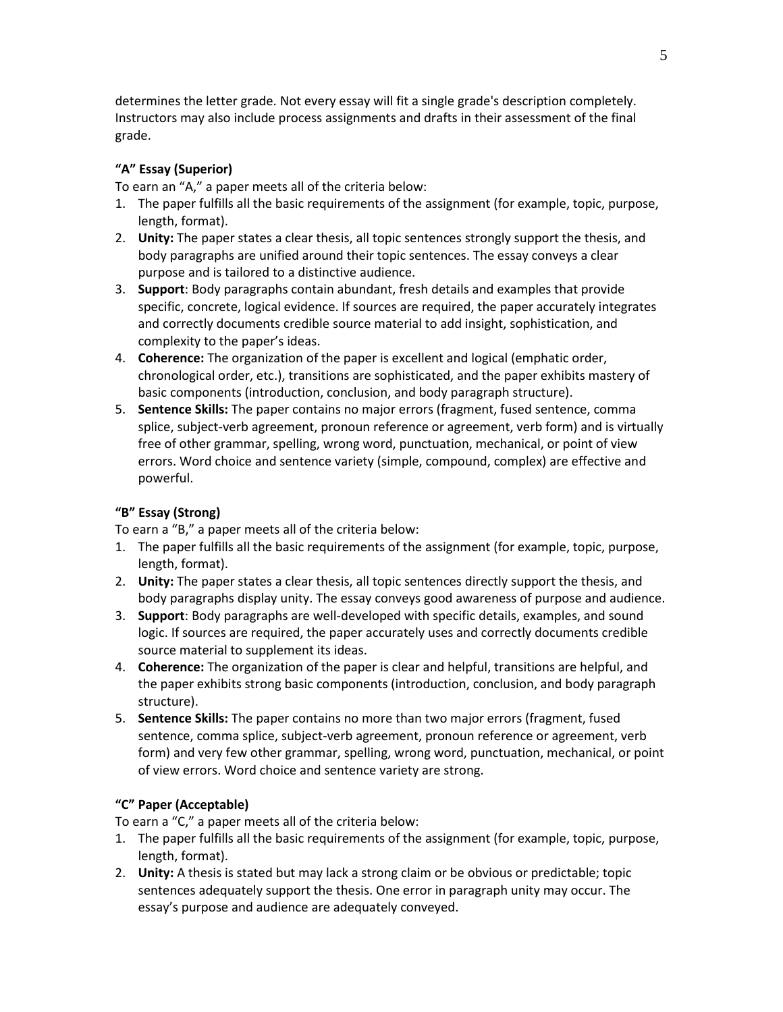determines the letter grade. Not every essay will fit a single grade's description completely. Instructors may also include process assignments and drafts in their assessment of the final grade.

# **"A" Essay (Superior)**

To earn an "A," a paper meets all of the criteria below:

- 1. The paper fulfills all the basic requirements of the assignment (for example, topic, purpose, length, format).
- 2. **Unity:** The paper states a clear thesis, all topic sentences strongly support the thesis, and body paragraphs are unified around their topic sentences. The essay conveys a clear purpose and is tailored to a distinctive audience.
- 3. **Support**: Body paragraphs contain abundant, fresh details and examples that provide specific, concrete, logical evidence. If sources are required, the paper accurately integrates and correctly documents credible source material to add insight, sophistication, and complexity to the paper's ideas.
- 4. **Coherence:** The organization of the paper is excellent and logical (emphatic order, chronological order, etc.), transitions are sophisticated, and the paper exhibits mastery of basic components (introduction, conclusion, and body paragraph structure).
- 5. **Sentence Skills:** The paper contains no major errors (fragment, fused sentence, comma splice, subject-verb agreement, pronoun reference or agreement, verb form) and is virtually free of other grammar, spelling, wrong word, punctuation, mechanical, or point of view errors. Word choice and sentence variety (simple, compound, complex) are effective and powerful.

# **"B" Essay (Strong)**

To earn a "B," a paper meets all of the criteria below:

- 1. The paper fulfills all the basic requirements of the assignment (for example, topic, purpose, length, format).
- 2. **Unity:** The paper states a clear thesis, all topic sentences directly support the thesis, and body paragraphs display unity. The essay conveys good awareness of purpose and audience.
- 3. **Support**: Body paragraphs are well-developed with specific details, examples, and sound logic. If sources are required, the paper accurately uses and correctly documents credible source material to supplement its ideas.
- 4. **Coherence:** The organization of the paper is clear and helpful, transitions are helpful, and the paper exhibits strong basic components (introduction, conclusion, and body paragraph structure).
- 5. **Sentence Skills:** The paper contains no more than two major errors (fragment, fused sentence, comma splice, subject-verb agreement, pronoun reference or agreement, verb form) and very few other grammar, spelling, wrong word, punctuation, mechanical, or point of view errors. Word choice and sentence variety are strong.

# **"C" Paper (Acceptable)**

To earn a "C," a paper meets all of the criteria below:

- 1. The paper fulfills all the basic requirements of the assignment (for example, topic, purpose, length, format).
- 2. **Unity:** A thesis is stated but may lack a strong claim or be obvious or predictable; topic sentences adequately support the thesis. One error in paragraph unity may occur. The essay's purpose and audience are adequately conveyed.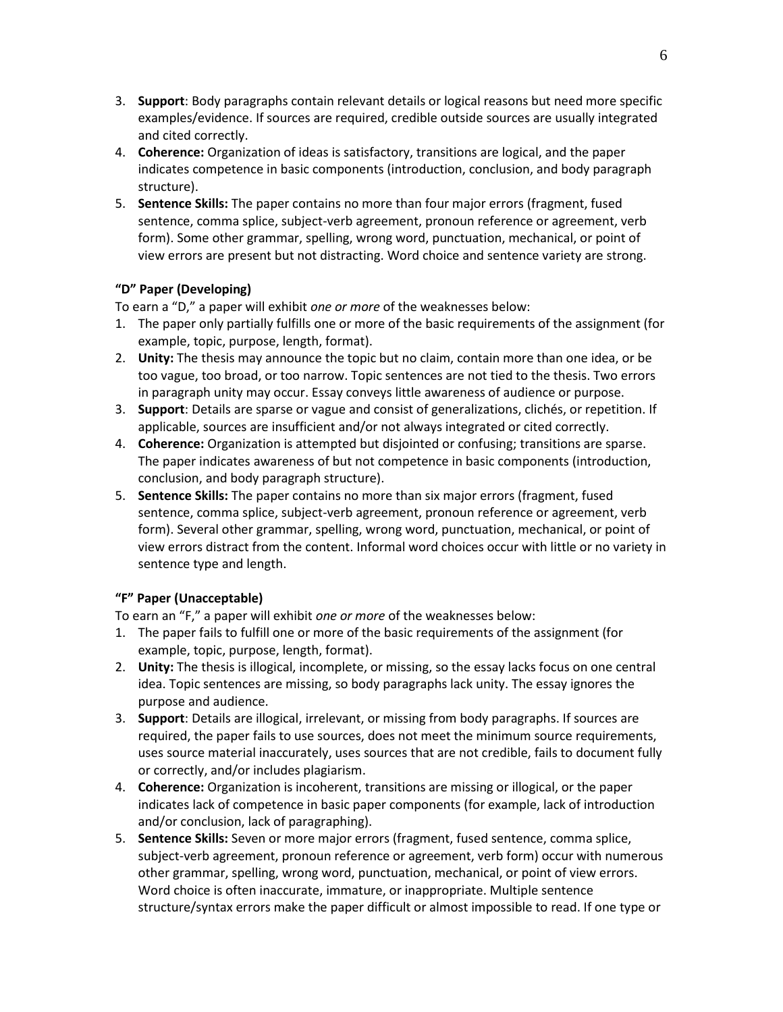- 3. **Support**: Body paragraphs contain relevant details or logical reasons but need more specific examples/evidence. If sources are required, credible outside sources are usually integrated and cited correctly.
- 4. **Coherence:** Organization of ideas is satisfactory, transitions are logical, and the paper indicates competence in basic components (introduction, conclusion, and body paragraph structure).
- 5. **Sentence Skills:** The paper contains no more than four major errors (fragment, fused sentence, comma splice, subject-verb agreement, pronoun reference or agreement, verb form). Some other grammar, spelling, wrong word, punctuation, mechanical, or point of view errors are present but not distracting. Word choice and sentence variety are strong.

## **"D" Paper (Developing)**

To earn a "D," a paper will exhibit *one or more* of the weaknesses below:

- 1. The paper only partially fulfills one or more of the basic requirements of the assignment (for example, topic, purpose, length, format).
- 2. **Unity:** The thesis may announce the topic but no claim, contain more than one idea, or be too vague, too broad, or too narrow. Topic sentences are not tied to the thesis. Two errors in paragraph unity may occur. Essay conveys little awareness of audience or purpose.
- 3. **Support**: Details are sparse or vague and consist of generalizations, clichés, or repetition. If applicable, sources are insufficient and/or not always integrated or cited correctly.
- 4. **Coherence:** Organization is attempted but disjointed or confusing; transitions are sparse. The paper indicates awareness of but not competence in basic components (introduction, conclusion, and body paragraph structure).
- 5. **Sentence Skills:** The paper contains no more than six major errors (fragment, fused sentence, comma splice, subject-verb agreement, pronoun reference or agreement, verb form). Several other grammar, spelling, wrong word, punctuation, mechanical, or point of view errors distract from the content. Informal word choices occur with little or no variety in sentence type and length.

# **"F" Paper (Unacceptable)**

To earn an "F," a paper will exhibit *one or more* of the weaknesses below:

- 1. The paper fails to fulfill one or more of the basic requirements of the assignment (for example, topic, purpose, length, format).
- 2. **Unity:** The thesis is illogical, incomplete, or missing, so the essay lacks focus on one central idea. Topic sentences are missing, so body paragraphs lack unity. The essay ignores the purpose and audience.
- 3. **Support**: Details are illogical, irrelevant, or missing from body paragraphs. If sources are required, the paper fails to use sources, does not meet the minimum source requirements, uses source material inaccurately, uses sources that are not credible, fails to document fully or correctly, and/or includes plagiarism.
- 4. **Coherence:** Organization is incoherent, transitions are missing or illogical, or the paper indicates lack of competence in basic paper components (for example, lack of introduction and/or conclusion, lack of paragraphing).
- 5. **Sentence Skills:** Seven or more major errors (fragment, fused sentence, comma splice, subject-verb agreement, pronoun reference or agreement, verb form) occur with numerous other grammar, spelling, wrong word, punctuation, mechanical, or point of view errors. Word choice is often inaccurate, immature, or inappropriate. Multiple sentence structure/syntax errors make the paper difficult or almost impossible to read. If one type or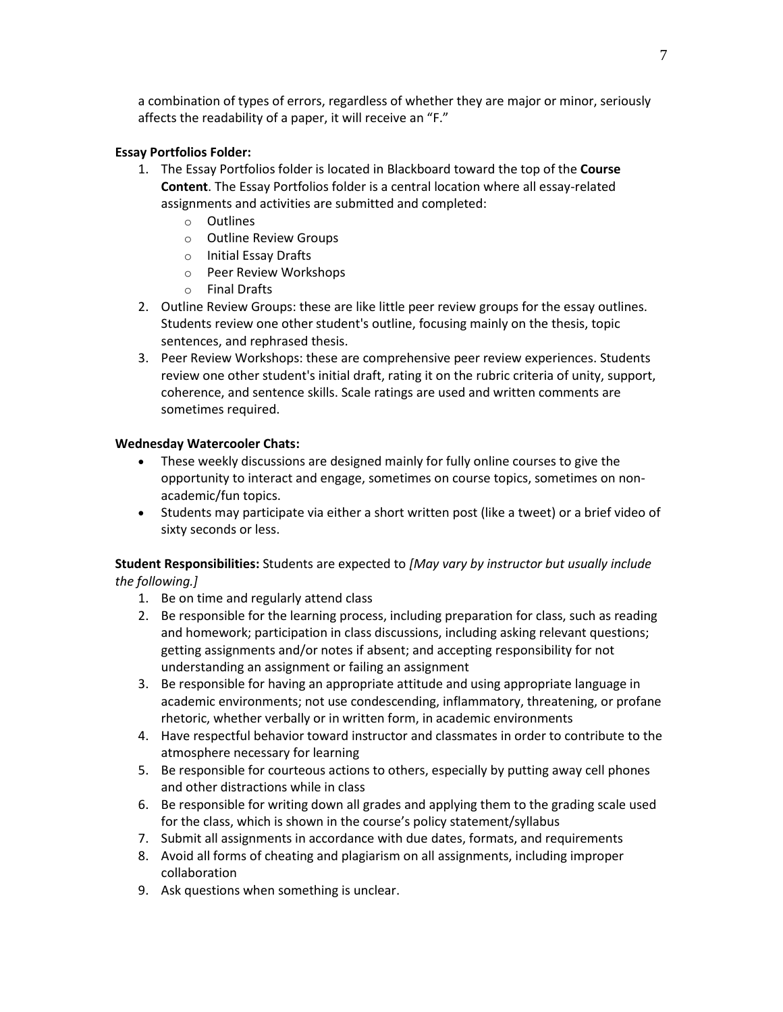a combination of types of errors, regardless of whether they are major or minor, seriously affects the readability of a paper, it will receive an "F."

## **Essay Portfolios Folder:**

- 1. The Essay Portfolios folder is located in Blackboard toward the top of the **Course Content**. The Essay Portfolios folder is a central location where all essay-related assignments and activities are submitted and completed:
	- o Outlines
	- o Outline Review Groups
	- o Initial Essay Drafts
	- o Peer Review Workshops
	- o Final Drafts
- 2. Outline Review Groups: these are like little peer review groups for the essay outlines. Students review one other student's outline, focusing mainly on the thesis, topic sentences, and rephrased thesis.
- 3. Peer Review Workshops: these are comprehensive peer review experiences. Students review one other student's initial draft, rating it on the rubric criteria of unity, support, coherence, and sentence skills. Scale ratings are used and written comments are sometimes required.

## **Wednesday Watercooler Chats:**

- These weekly discussions are designed mainly for fully online courses to give the opportunity to interact and engage, sometimes on course topics, sometimes on nonacademic/fun topics.
- Students may participate via either a short written post (like a tweet) or a brief video of sixty seconds or less.

# **Student Responsibilities:** Students are expected to *[May vary by instructor but usually include the following.]*

- 1. Be on time and regularly attend class
- 2. Be responsible for the learning process, including preparation for class, such as reading and homework; participation in class discussions, including asking relevant questions; getting assignments and/or notes if absent; and accepting responsibility for not understanding an assignment or failing an assignment
- 3. Be responsible for having an appropriate attitude and using appropriate language in academic environments; not use condescending, inflammatory, threatening, or profane rhetoric, whether verbally or in written form, in academic environments
- 4. Have respectful behavior toward instructor and classmates in order to contribute to the atmosphere necessary for learning
- 5. Be responsible for courteous actions to others, especially by putting away cell phones and other distractions while in class
- 6. Be responsible for writing down all grades and applying them to the grading scale used for the class, which is shown in the course's policy statement/syllabus
- 7. Submit all assignments in accordance with due dates, formats, and requirements
- 8. Avoid all forms of cheating and plagiarism on all assignments, including improper collaboration
- 9. Ask questions when something is unclear.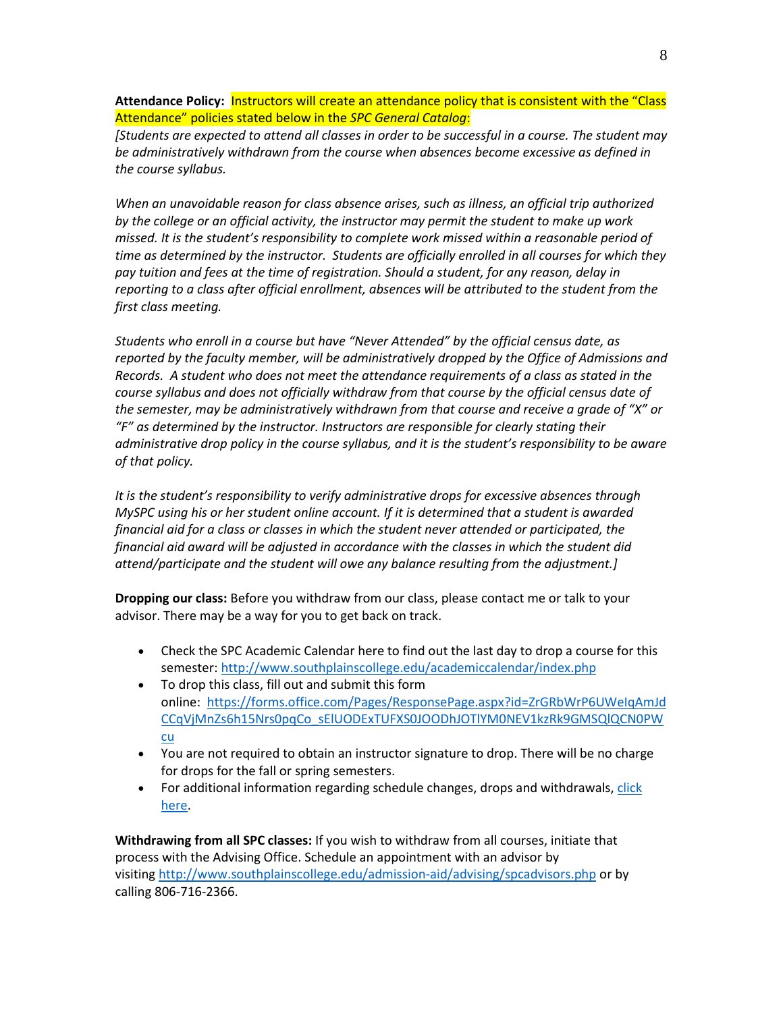**Attendance Policy:** Instructors will create an attendance policy that is consistent with the "Class Attendance" policies stated below in the *SPC General Catalog*:

*[Students are expected to attend all classes in order to be successful in a course. The student may be administratively withdrawn from the course when absences become excessive as defined in the course syllabus.*

*When an unavoidable reason for class absence arises, such as illness, an official trip authorized by the college or an official activity, the instructor may permit the student to make up work missed. It is the student's responsibility to complete work missed within a reasonable period of time as determined by the instructor. Students are officially enrolled in all courses for which they pay tuition and fees at the time of registration. Should a student, for any reason, delay in reporting to a class after official enrollment, absences will be attributed to the student from the first class meeting.*

*Students who enroll in a course but have "Never Attended" by the official census date, as reported by the faculty member, will be administratively dropped by the Office of Admissions and Records. A student who does not meet the attendance requirements of a class as stated in the course syllabus and does not officially withdraw from that course by the official census date of the semester, may be administratively withdrawn from that course and receive a grade of "X" or "F" as determined by the instructor. Instructors are responsible for clearly stating their administrative drop policy in the course syllabus, and it is the student's responsibility to be aware of that policy.* 

*It is the student's responsibility to verify administrative drops for excessive absences through MySPC using his or her student online account. If it is determined that a student is awarded financial aid for a class or classes in which the student never attended or participated, the financial aid award will be adjusted in accordance with the classes in which the student did attend/participate and the student will owe any balance resulting from the adjustment.]*

**Dropping our class:** Before you withdraw from our class, please contact me or talk to your advisor. There may be a way for you to get back on track.

- Check the SPC Academic Calendar here to find out the last day to drop a course for this semester:<http://www.southplainscollege.edu/academiccalendar/index.php>
- To drop this class, fill out and submit this form online: [https://forms.office.com/Pages/ResponsePage.aspx?id=ZrGRbWrP6UWeIqAmJd](https://forms.office.com/Pages/ResponsePage.aspx?id=ZrGRbWrP6UWeIqAmJdCCqVjMnZs6h15Nrs0pqCo_sElUODExTUFXS0JOODhJOTlYM0NEV1kzRk9GMSQlQCN0PWcu) [CCqVjMnZs6h15Nrs0pqCo\\_sElUODExTUFXS0JOODhJOTlYM0NEV1kzRk9GMSQlQCN0PW](https://forms.office.com/Pages/ResponsePage.aspx?id=ZrGRbWrP6UWeIqAmJdCCqVjMnZs6h15Nrs0pqCo_sElUODExTUFXS0JOODhJOTlYM0NEV1kzRk9GMSQlQCN0PWcu) [cu](https://forms.office.com/Pages/ResponsePage.aspx?id=ZrGRbWrP6UWeIqAmJdCCqVjMnZs6h15Nrs0pqCo_sElUODExTUFXS0JOODhJOTlYM0NEV1kzRk9GMSQlQCN0PWcu)
- You are not required to obtain an instructor signature to drop. There will be no charge for drops for the fall or spring semesters.
- For additional information regarding schedule changes, drops and withdrawals, click [here.](http://www.southplainscollege.edu/admission-aid/apply/schedulechanges.php)

**Withdrawing from all SPC classes:** If you wish to withdraw from all courses, initiate that process with the Advising Office. Schedule an appointment with an advisor by visiting <http://www.southplainscollege.edu/admission-aid/advising/spcadvisors.php> or by calling 806-716-2366.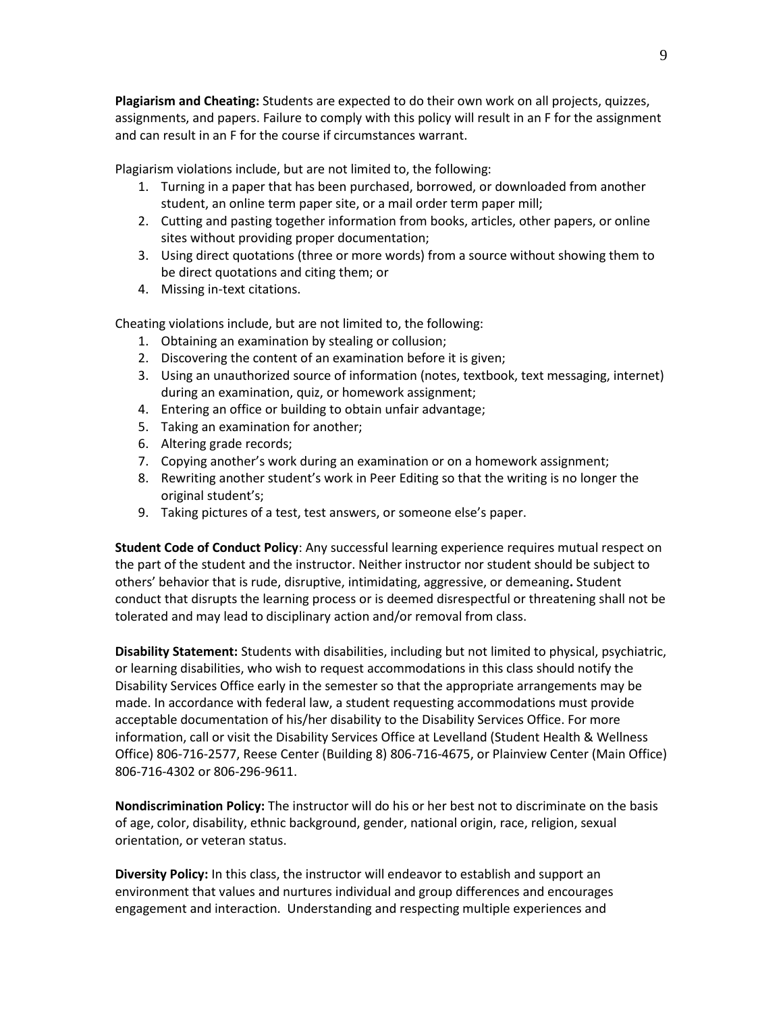**Plagiarism and Cheating:** Students are expected to do their own work on all projects, quizzes, assignments, and papers. Failure to comply with this policy will result in an F for the assignment and can result in an F for the course if circumstances warrant.

Plagiarism violations include, but are not limited to, the following:

- 1. Turning in a paper that has been purchased, borrowed, or downloaded from another student, an online term paper site, or a mail order term paper mill;
- 2. Cutting and pasting together information from books, articles, other papers, or online sites without providing proper documentation;
- 3. Using direct quotations (three or more words) from a source without showing them to be direct quotations and citing them; or
- 4. Missing in-text citations.

Cheating violations include, but are not limited to, the following:

- 1. Obtaining an examination by stealing or collusion;
- 2. Discovering the content of an examination before it is given;
- 3. Using an unauthorized source of information (notes, textbook, text messaging, internet) during an examination, quiz, or homework assignment;
- 4. Entering an office or building to obtain unfair advantage;
- 5. Taking an examination for another;
- 6. Altering grade records;
- 7. Copying another's work during an examination or on a homework assignment;
- 8. Rewriting another student's work in Peer Editing so that the writing is no longer the original student's;
- 9. Taking pictures of a test, test answers, or someone else's paper.

**Student Code of Conduct Policy**: Any successful learning experience requires mutual respect on the part of the student and the instructor. Neither instructor nor student should be subject to others' behavior that is rude, disruptive, intimidating, aggressive, or demeaning**.** Student conduct that disrupts the learning process or is deemed disrespectful or threatening shall not be tolerated and may lead to disciplinary action and/or removal from class.

**Disability Statement:** Students with disabilities, including but not limited to physical, psychiatric, or learning disabilities, who wish to request accommodations in this class should notify the Disability Services Office early in the semester so that the appropriate arrangements may be made. In accordance with federal law, a student requesting accommodations must provide acceptable documentation of his/her disability to the Disability Services Office. For more information, call or visit the Disability Services Office at Levelland (Student Health & Wellness Office) 806-716-2577, Reese Center (Building 8) 806-716-4675, or Plainview Center (Main Office) 806-716-4302 or 806-296-9611.

**Nondiscrimination Policy:** The instructor will do his or her best not to discriminate on the basis of age, color, disability, ethnic background, gender, national origin, race, religion, sexual orientation, or veteran status.

**Diversity Policy:** In this class, the instructor will endeavor to establish and support an environment that values and nurtures individual and group differences and encourages engagement and interaction. Understanding and respecting multiple experiences and